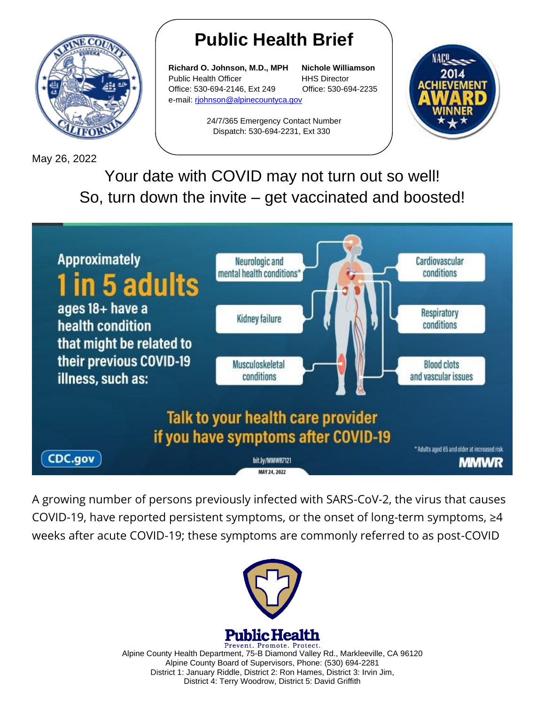

May 26, 2022

## **Public Health Brief**

**Richard O. Johnson, M.D., MPH Nichole Williamson** Public Health Officer **HHS Director** Office: 530-694-2146, Ext 249 Office: 530-694-2235 e-mail: [rjohnson@alpinecountyca.gov](mailto:rjohnson@alpinecountyca.gov) 

> 24/7/365 Emergency Contact Number Dispatch: 530-694-2231, Ext 330



Your date with COVID may not turn out so well! So, turn down the invite – get vaccinated and boosted!



A growing number of persons previously infected with SARS-CoV-2, the virus that causes COVID-19, have reported persistent symptoms, or the onset of long-term symptoms,  $\geq 4$ weeks after acute COVID-19; these symptoms are commonly referred to as post-COVID



Prevent. Promote. Protect. Alpine County Health Department, 75-B Diamond Valley Rd., Markleeville, CA 96120 Alpine County Board of Supervisors, Phone: (530) 694-2281 District 1: January Riddle, District 2: Ron Hames, District 3: Irvin Jim, District 4: Terry Woodrow, District 5: David Griffith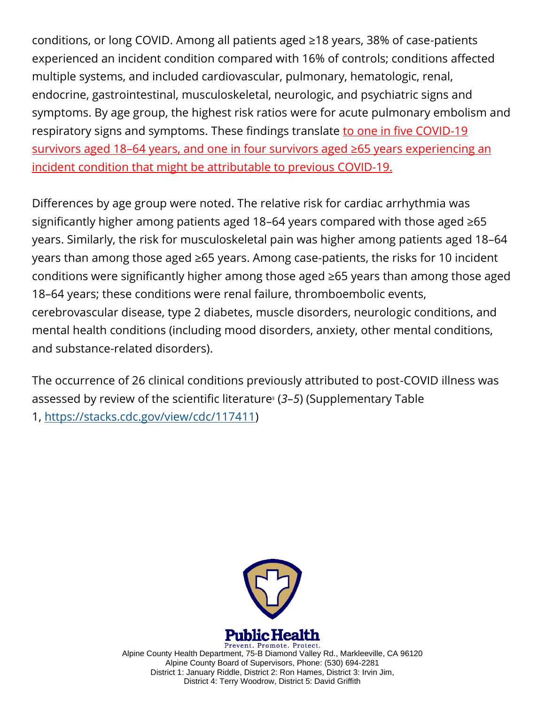conditions, or long COVID. Among all patients aged ≥18 years, 38% of case-patients experienced an incident condition compared with 16% of controls; conditions affected multiple systems, and included cardiovascular, pulmonary, hematologic, renal, endocrine, gastrointestinal, musculoskeletal, neurologic, and psychiatric signs and symptoms. By age group, the highest risk ratios were for acute pulmonary embolism and respiratory signs and symptoms. These findings translate to one in five COVID-19 survivors aged 18–64 years, and one in four survivors aged ≥65 years experiencing an incident condition that might be attributable to previous COVID-19.

Differences by age group were noted. The relative risk for cardiac arrhythmia was significantly higher among patients aged 18–64 years compared with those aged ≥65 years. Similarly, the risk for musculoskeletal pain was higher among patients aged 18–64 years than among those aged ≥65 years. Among case-patients, the risks for 10 incident conditions were significantly higher among those aged ≥65 years than among those aged 18–64 years; these conditions were renal failure, thromboembolic events, cerebrovascular disease, type 2 diabetes, muscle disorders, neurologic conditions, and mental health conditions (including mood disorders, anxiety, other mental conditions, and substance-related disorders).

The occurrence of 26 clinical conditions previously attributed to post-COVID illness was assessed by review of the scientific literature§ (*3*–*5*) (Supplementary Table

1, [https://stacks.cdc.gov/view/cdc/117411\)](https://stacks.cdc.gov/view/cdc/117411)



Prevent. Promote. Protect. Alpine County Health Department, 75-B Diamond Valley Rd., Markleeville, CA 96120 Alpine County Board of Supervisors, Phone: (530) 694-2281 District 1: January Riddle, District 2: Ron Hames, District 3: Irvin Jim, District 4: Terry Woodrow, District 5: David Griffith